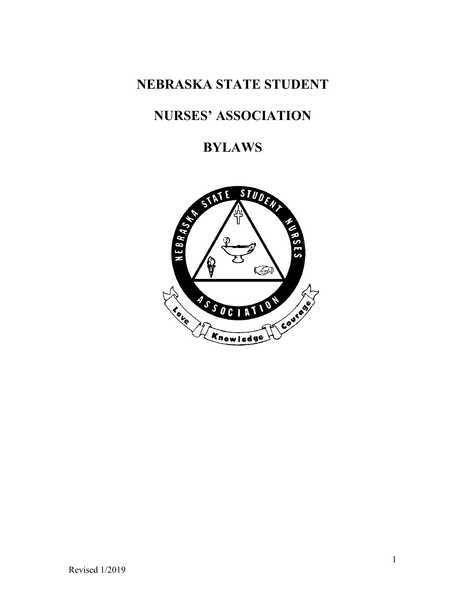## **NEBRASKA STATE STUDENT**

# **NURSES' ASSOCIATION**

## **BYLAWS**

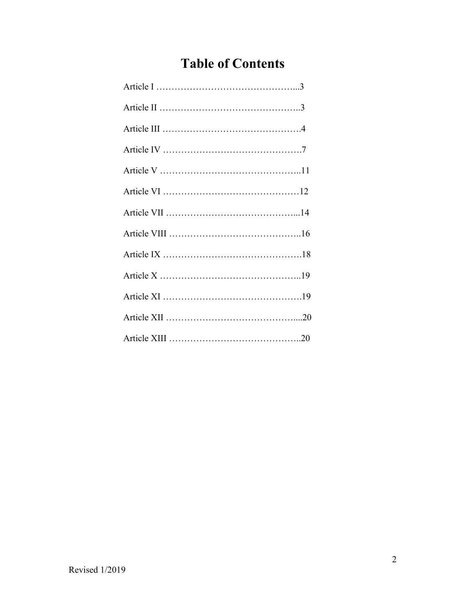# **Table of Contents**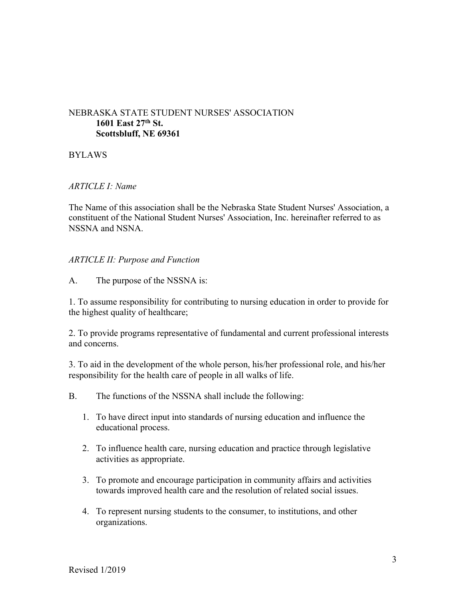## NEBRASKA STATE STUDENT NURSES' ASSOCIATION **1601 East 27th St. Scottsbluff, NE 69361**

BYLAWS

## *ARTICLE I: Name*

The Name of this association shall be the Nebraska State Student Nurses' Association, a constituent of the National Student Nurses' Association, Inc. hereinafter referred to as NSSNA and NSNA.

## *ARTICLE II: Purpose and Function*

A. The purpose of the NSSNA is:

1. To assume responsibility for contributing to nursing education in order to provide for the highest quality of healthcare;

2. To provide programs representative of fundamental and current professional interests and concerns.

3. To aid in the development of the whole person, his/her professional role, and his/her responsibility for the health care of people in all walks of life.

B. The functions of the NSSNA shall include the following:

- 1. To have direct input into standards of nursing education and influence the educational process.
- 2. To influence health care, nursing education and practice through legislative activities as appropriate.
- 3. To promote and encourage participation in community affairs and activities towards improved health care and the resolution of related social issues.
- 4. To represent nursing students to the consumer, to institutions, and other organizations.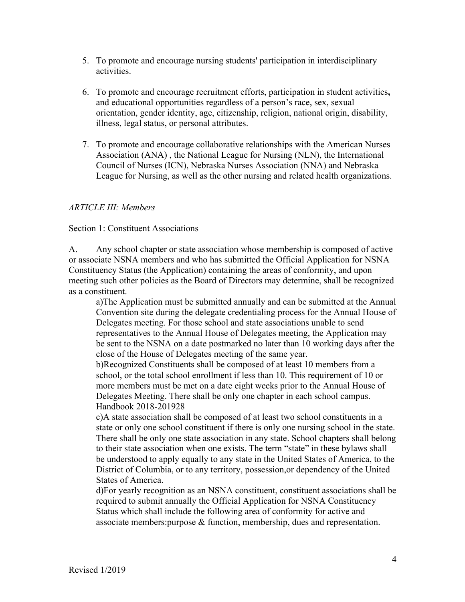- 5. To promote and encourage nursing students' participation in interdisciplinary activities.
- 6. To promote and encourage recruitment efforts, participation in student activities**,** and educational opportunities regardless of a person's race, sex, sexual orientation, gender identity, age, citizenship, religion, national origin, disability, illness, legal status, or personal attributes.
- 7. To promote and encourage collaborative relationships with the American Nurses Association (ANA) , the National League for Nursing (NLN), the International Council of Nurses (ICN), Nebraska Nurses Association (NNA) and Nebraska League for Nursing, as well as the other nursing and related health organizations.

## *ARTICLE III: Members*

## Section 1: Constituent Associations

A. Any school chapter or state association whose membership is composed of active or associate NSNA members and who has submitted the Official Application for NSNA Constituency Status (the Application) containing the areas of conformity, and upon meeting such other policies as the Board of Directors may determine, shall be recognized as a constituent.

a)The Application must be submitted annually and can be submitted at the Annual Convention site during the delegate credentialing process for the Annual House of Delegates meeting. For those school and state associations unable to send representatives to the Annual House of Delegates meeting, the Application may be sent to the NSNA on a date postmarked no later than 10 working days after the close of the House of Delegates meeting of the same year.

b)Recognized Constituents shall be composed of at least 10 members from a school, or the total school enrollment if less than 10. This requirement of 10 or more members must be met on a date eight weeks prior to the Annual House of Delegates Meeting. There shall be only one chapter in each school campus. Handbook 2018-201928

c)A state association shall be composed of at least two school constituents in a state or only one school constituent if there is only one nursing school in the state. There shall be only one state association in any state. School chapters shall belong to their state association when one exists. The term "state" in these bylaws shall be understood to apply equally to any state in the United States of America, to the District of Columbia, or to any territory, possession,or dependency of the United States of America.

d)For yearly recognition as an NSNA constituent, constituent associations shall be required to submit annually the Official Application for NSNA Constituency Status which shall include the following area of conformity for active and associate members:purpose & function, membership, dues and representation.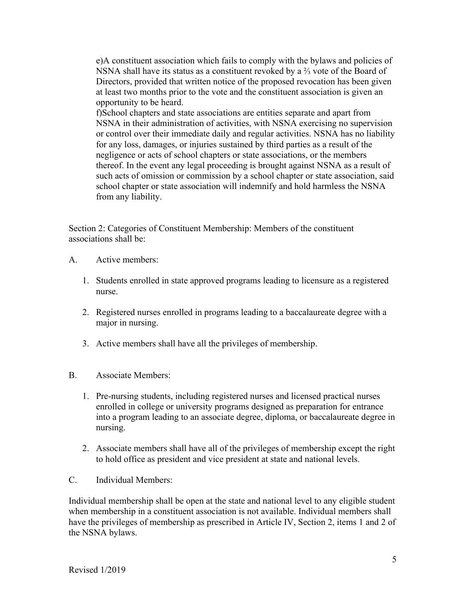e)A constituent association which fails to comply with the bylaws and policies of NSNA shall have its status as a constituent revoked by a ⅔ vote of the Board of Directors, provided that written notice of the proposed revocation has been given at least two months prior to the vote and the constituent association is given an opportunity to be heard.

f)School chapters and state associations are entities separate and apart from NSNA in their administration of activities, with NSNA exercising no supervision or control over their immediate daily and regular activities. NSNA has no liability for any loss, damages, or injuries sustained by third parties as a result of the negligence or acts of school chapters or state associations, or the members thereof. In the event any legal proceeding is brought against NSNA as a result of such acts of omission or commission by a school chapter or state association, said school chapter or state association will indemnify and hold harmless the NSNA from any liability.

Section 2: Categories of Constituent Membership: Members of the constituent associations shall be:

- A. Active members:
	- 1. Students enrolled in state approved programs leading to licensure as a registered nurse.
	- 2. Registered nurses enrolled in programs leading to a baccalaureate degree with a major in nursing.
	- 3. Active members shall have all the privileges of membership.
- B. Associate Members:
	- 1. Pre-nursing students, including registered nurses and licensed practical nurses enrolled in college or university programs designed as preparation for entrance into a program leading to an associate degree, diploma, or baccalaureate degree in nursing.
	- 2. Associate members shall have all of the privileges of membership except the right to hold office as president and vice president at state and national levels.
- C. Individual Members:

Individual membership shall be open at the state and national level to any eligible student when membership in a constituent association is not available. Individual members shall have the privileges of membership as prescribed in Article IV, Section 2, items 1 and 2 of the NSNA bylaws.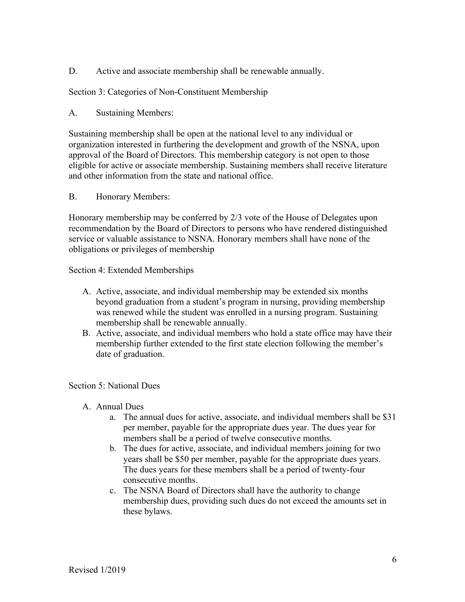D. Active and associate membership shall be renewable annually.

Section 3: Categories of Non-Constituent Membership

#### A. Sustaining Members:

Sustaining membership shall be open at the national level to any individual or organization interested in furthering the development and growth of the NSNA, upon approval of the Board of Directors. This membership category is not open to those eligible for active or associate membership. Sustaining members shall receive literature and other information from the state and national office.

B. Honorary Members:

Honorary membership may be conferred by 2/3 vote of the House of Delegates upon recommendation by the Board of Directors to persons who have rendered distinguished service or valuable assistance to NSNA. Honorary members shall have none of the obligations or privileges of membership

Section 4: Extended Memberships

- A. Active, associate, and individual membership may be extended six months beyond graduation from a student's program in nursing, providing membership was renewed while the student was enrolled in a nursing program. Sustaining membership shall be renewable annually.
- B. Active, associate, and individual members who hold a state office may have their membership further extended to the first state election following the member's date of graduation.

#### Section 5: National Dues

- A. Annual Dues
	- a. The annual dues for active, associate, and individual members shall be \$31 per member, payable for the appropriate dues year. The dues year for members shall be a period of twelve consecutive months.
	- b. The dues for active, associate, and individual members joining for two years shall be \$50 per member, payable for the appropriate dues years. The dues years for these members shall be a period of twenty-four consecutive months.
	- c. The NSNA Board of Directors shall have the authority to change membership dues, providing such dues do not exceed the amounts set in these bylaws.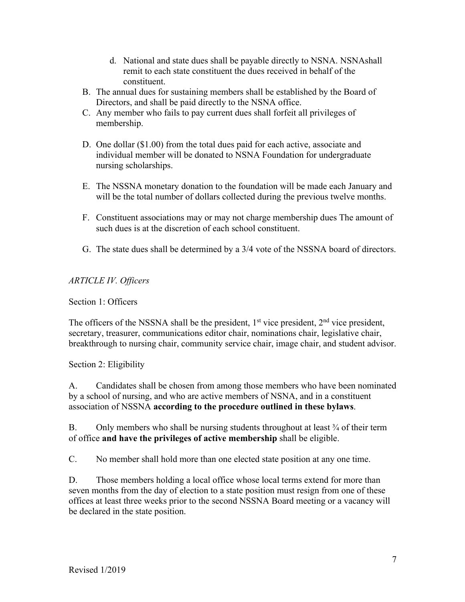- d. National and state dues shall be payable directly to NSNA. NSNAshall remit to each state constituent the dues received in behalf of the constituent.
- B. The annual dues for sustaining members shall be established by the Board of Directors, and shall be paid directly to the NSNA office.
- C. Any member who fails to pay current dues shall forfeit all privileges of membership.
- D. One dollar (\$1.00) from the total dues paid for each active, associate and individual member will be donated to NSNA Foundation for undergraduate nursing scholarships.
- E. The NSSNA monetary donation to the foundation will be made each January and will be the total number of dollars collected during the previous twelve months.
- F. Constituent associations may or may not charge membership dues The amount of such dues is at the discretion of each school constituent.
- G. The state dues shall be determined by a 3/4 vote of the NSSNA board of directors.

## *ARTICLE IV. Officers*

## Section 1: Officers

The officers of the NSSNA shall be the president,  $1<sup>st</sup>$  vice president,  $2<sup>nd</sup>$  vice president, secretary, treasurer, communications editor chair, nominations chair, legislative chair, breakthrough to nursing chair, community service chair, image chair, and student advisor.

## Section 2: Eligibility

A. Candidates shall be chosen from among those members who have been nominated by a school of nursing, and who are active members of NSNA, and in a constituent association of NSSNA **according to the procedure outlined in these bylaws**.

B. Only members who shall be nursing students throughout at least  $\frac{3}{4}$  of their term of office **and have the privileges of active membership** shall be eligible.

C. No member shall hold more than one elected state position at any one time.

D. Those members holding a local office whose local terms extend for more than seven months from the day of election to a state position must resign from one of these offices at least three weeks prior to the second NSSNA Board meeting or a vacancy will be declared in the state position.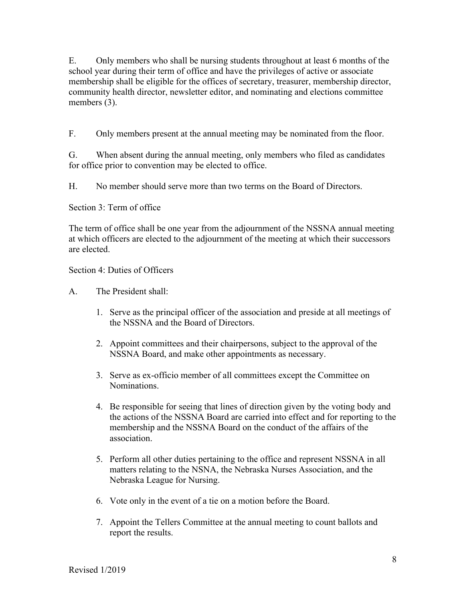E. Only members who shall be nursing students throughout at least 6 months of the school year during their term of office and have the privileges of active or associate membership shall be eligible for the offices of secretary, treasurer, membership director, community health director, newsletter editor, and nominating and elections committee members (3).

F. Only members present at the annual meeting may be nominated from the floor.

G. When absent during the annual meeting, only members who filed as candidates for office prior to convention may be elected to office.

H. No member should serve more than two terms on the Board of Directors.

Section 3: Term of office

The term of office shall be one year from the adjournment of the NSSNA annual meeting at which officers are elected to the adjournment of the meeting at which their successors are elected.

Section 4: Duties of Officers

A. The President shall:

- 1. Serve as the principal officer of the association and preside at all meetings of the NSSNA and the Board of Directors.
- 2. Appoint committees and their chairpersons, subject to the approval of the NSSNA Board, and make other appointments as necessary.
- 3. Serve as ex-officio member of all committees except the Committee on Nominations.
- 4. Be responsible for seeing that lines of direction given by the voting body and the actions of the NSSNA Board are carried into effect and for reporting to the membership and the NSSNA Board on the conduct of the affairs of the association.
- 5. Perform all other duties pertaining to the office and represent NSSNA in all matters relating to the NSNA, the Nebraska Nurses Association, and the Nebraska League for Nursing.
- 6. Vote only in the event of a tie on a motion before the Board.
- 7. Appoint the Tellers Committee at the annual meeting to count ballots and report the results.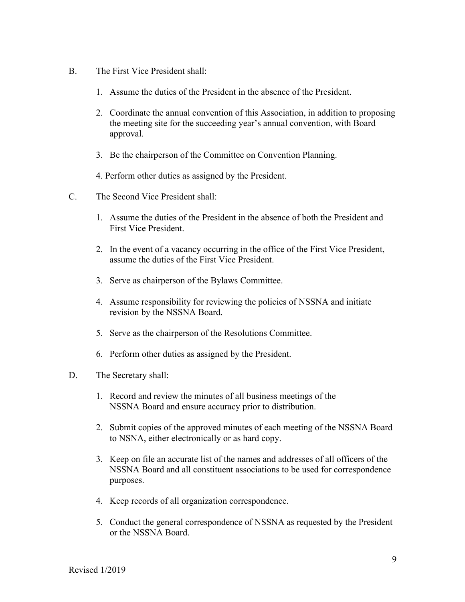- B. The First Vice President shall:
	- 1. Assume the duties of the President in the absence of the President.
	- 2. Coordinate the annual convention of this Association, in addition to proposing the meeting site for the succeeding year's annual convention, with Board approval.
	- 3. Be the chairperson of the Committee on Convention Planning.
	- 4. Perform other duties as assigned by the President.
- C. The Second Vice President shall:
	- 1. Assume the duties of the President in the absence of both the President and First Vice President.
	- 2. In the event of a vacancy occurring in the office of the First Vice President, assume the duties of the First Vice President.
	- 3. Serve as chairperson of the Bylaws Committee.
	- 4. Assume responsibility for reviewing the policies of NSSNA and initiate revision by the NSSNA Board.
	- 5. Serve as the chairperson of the Resolutions Committee.
	- 6. Perform other duties as assigned by the President.

## D. The Secretary shall:

- 1. Record and review the minutes of all business meetings of the NSSNA Board and ensure accuracy prior to distribution.
- 2. Submit copies of the approved minutes of each meeting of the NSSNA Board to NSNA, either electronically or as hard copy.
- 3. Keep on file an accurate list of the names and addresses of all officers of the NSSNA Board and all constituent associations to be used for correspondence purposes.
- 4. Keep records of all organization correspondence.
- 5. Conduct the general correspondence of NSSNA as requested by the President or the NSSNA Board.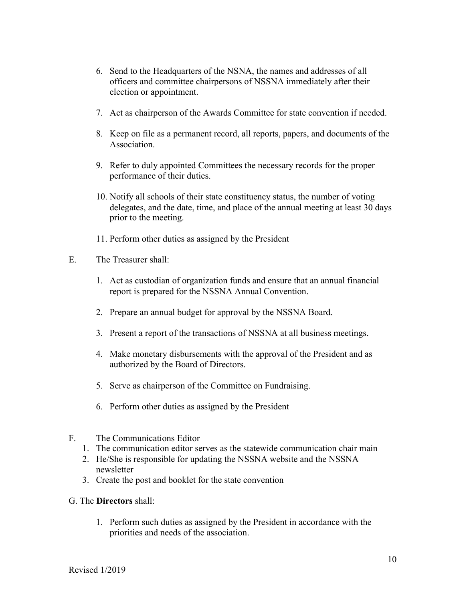- 6. Send to the Headquarters of the NSNA, the names and addresses of all officers and committee chairpersons of NSSNA immediately after their election or appointment.
- 7. Act as chairperson of the Awards Committee for state convention if needed.
- 8. Keep on file as a permanent record, all reports, papers, and documents of the Association.
- 9. Refer to duly appointed Committees the necessary records for the proper performance of their duties.
- 10. Notify all schools of their state constituency status, the number of voting delegates, and the date, time, and place of the annual meeting at least 30 days prior to the meeting.
- 11. Perform other duties as assigned by the President
- E. The Treasurer shall:
	- 1. Act as custodian of organization funds and ensure that an annual financial report is prepared for the NSSNA Annual Convention.
	- 2. Prepare an annual budget for approval by the NSSNA Board.
	- 3. Present a report of the transactions of NSSNA at all business meetings.
	- 4. Make monetary disbursements with the approval of the President and as authorized by the Board of Directors.
	- 5. Serve as chairperson of the Committee on Fundraising.
	- 6. Perform other duties as assigned by the President
- F. The Communications Editor
	- 1. The communication editor serves as the statewide communication chair main
	- 2. He/She is responsible for updating the NSSNA website and the NSSNA newsletter
	- 3. Create the post and booklet for the state convention
- G. The **Directors** shall:
	- 1. Perform such duties as assigned by the President in accordance with the priorities and needs of the association.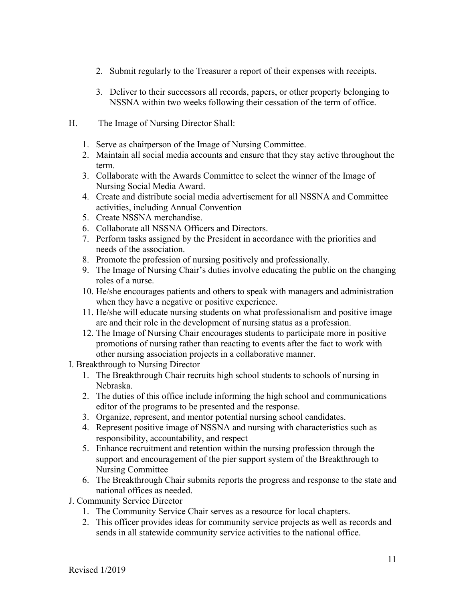- 2. Submit regularly to the Treasurer a report of their expenses with receipts.
- 3. Deliver to their successors all records, papers, or other property belonging to NSSNA within two weeks following their cessation of the term of office.
- H. The Image of Nursing Director Shall:
	- 1. Serve as chairperson of the Image of Nursing Committee.
	- 2. Maintain all social media accounts and ensure that they stay active throughout the term.
	- 3. Collaborate with the Awards Committee to select the winner of the Image of Nursing Social Media Award.
	- 4. Create and distribute social media advertisement for all NSSNA and Committee activities, including Annual Convention
	- 5. Create NSSNA merchandise.
	- 6. Collaborate all NSSNA Officers and Directors.
	- 7. Perform tasks assigned by the President in accordance with the priorities and needs of the association.
	- 8. Promote the profession of nursing positively and professionally.
	- 9. The Image of Nursing Chair's duties involve educating the public on the changing roles of a nurse.
	- 10. He/she encourages patients and others to speak with managers and administration when they have a negative or positive experience.
	- 11. He/she will educate nursing students on what professionalism and positive image are and their role in the development of nursing status as a profession.
	- 12. The Image of Nursing Chair encourages students to participate more in positive promotions of nursing rather than reacting to events after the fact to work with other nursing association projects in a collaborative manner.
- I. Breakthrough to Nursing Director
	- 1. The Breakthrough Chair recruits high school students to schools of nursing in Nebraska.
	- 2. The duties of this office include informing the high school and communications editor of the programs to be presented and the response.
	- 3. Organize, represent, and mentor potential nursing school candidates.
	- 4. Represent positive image of NSSNA and nursing with characteristics such as responsibility, accountability, and respect
	- 5. Enhance recruitment and retention within the nursing profession through the support and encouragement of the pier support system of the Breakthrough to Nursing Committee
	- 6. The Breakthrough Chair submits reports the progress and response to the state and national offices as needed.
- J. Community Service Director
	- 1. The Community Service Chair serves as a resource for local chapters.
	- 2. This officer provides ideas for community service projects as well as records and sends in all statewide community service activities to the national office.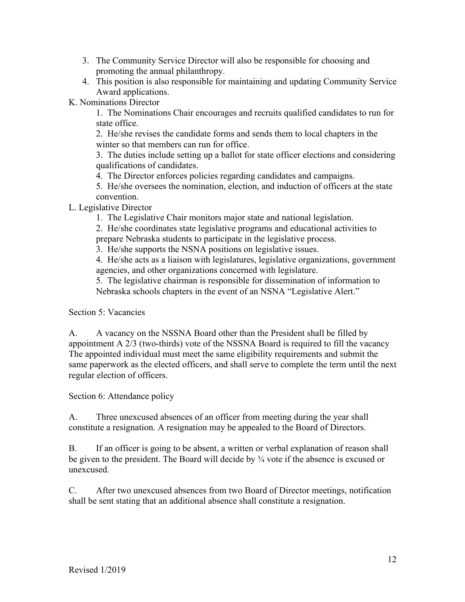- 3. The Community Service Director will also be responsible for choosing and promoting the annual philanthropy.
- 4. This position is also responsible for maintaining and updating Community Service Award applications.

## K. Nominations Director

1. The Nominations Chair encourages and recruits qualified candidates to run for state office.

2. He/she revises the candidate forms and sends them to local chapters in the winter so that members can run for office.

3. The duties include setting up a ballot for state officer elections and considering qualifications of candidates.

4. The Director enforces policies regarding candidates and campaigns.

5. He/she oversees the nomination, election, and induction of officers at the state convention.

L. Legislative Director

1. The Legislative Chair monitors major state and national legislation.

2. He/she coordinates state legislative programs and educational activities to

prepare Nebraska students to participate in the legislative process.

3. He/she supports the NSNA positions on legislative issues.

4. He/she acts as a liaison with legislatures, legislative organizations, government agencies, and other organizations concerned with legislature.

5. The legislative chairman is responsible for dissemination of information to Nebraska schools chapters in the event of an NSNA "Legislative Alert."

Section 5: Vacancies

A. A vacancy on the NSSNA Board other than the President shall be filled by appointment A 2/3 (two-thirds) vote of the NSSNA Board is required to fill the vacancy The appointed individual must meet the same eligibility requirements and submit the same paperwork as the elected officers, and shall serve to complete the term until the next regular election of officers.

Section 6: Attendance policy

A. Three unexcused absences of an officer from meeting during the year shall constitute a resignation. A resignation may be appealed to the Board of Directors.

B. If an officer is going to be absent, a written or verbal explanation of reason shall be given to the president. The Board will decide by ¾ vote if the absence is excused or unexcused.

C. After two unexcused absences from two Board of Director meetings, notification shall be sent stating that an additional absence shall constitute a resignation.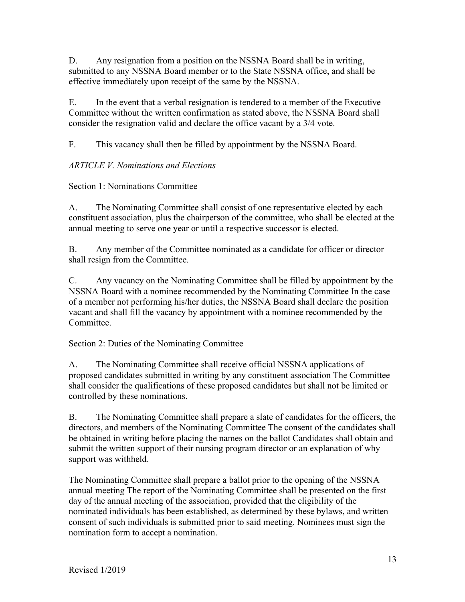D. Any resignation from a position on the NSSNA Board shall be in writing, submitted to any NSSNA Board member or to the State NSSNA office, and shall be effective immediately upon receipt of the same by the NSSNA.

E. In the event that a verbal resignation is tendered to a member of the Executive Committee without the written confirmation as stated above, the NSSNA Board shall consider the resignation valid and declare the office vacant by a 3/4 vote.

F. This vacancy shall then be filled by appointment by the NSSNA Board.

## *ARTICLE V. Nominations and Elections*

## Section 1: Nominations Committee

A. The Nominating Committee shall consist of one representative elected by each constituent association, plus the chairperson of the committee, who shall be elected at the annual meeting to serve one year or until a respective successor is elected.

B. Any member of the Committee nominated as a candidate for officer or director shall resign from the Committee.

C. Any vacancy on the Nominating Committee shall be filled by appointment by the NSSNA Board with a nominee recommended by the Nominating Committee In the case of a member not performing his/her duties, the NSSNA Board shall declare the position vacant and shall fill the vacancy by appointment with a nominee recommended by the Committee.

## Section 2: Duties of the Nominating Committee

A. The Nominating Committee shall receive official NSSNA applications of proposed candidates submitted in writing by any constituent association The Committee shall consider the qualifications of these proposed candidates but shall not be limited or controlled by these nominations.

B. The Nominating Committee shall prepare a slate of candidates for the officers, the directors, and members of the Nominating Committee The consent of the candidates shall be obtained in writing before placing the names on the ballot Candidates shall obtain and submit the written support of their nursing program director or an explanation of why support was withheld.

The Nominating Committee shall prepare a ballot prior to the opening of the NSSNA annual meeting The report of the Nominating Committee shall be presented on the first day of the annual meeting of the association, provided that the eligibility of the nominated individuals has been established, as determined by these bylaws, and written consent of such individuals is submitted prior to said meeting. Nominees must sign the nomination form to accept a nomination.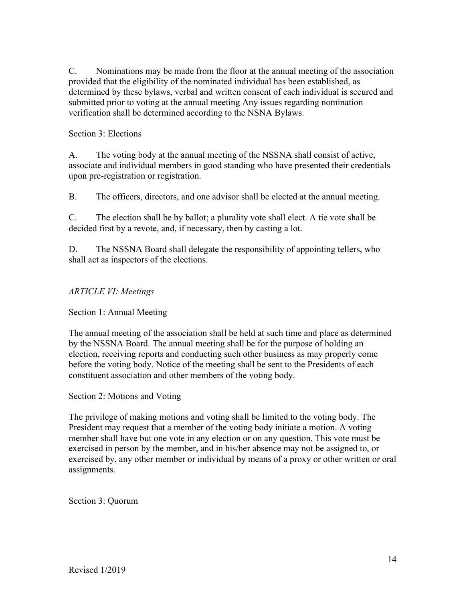C. Nominations may be made from the floor at the annual meeting of the association provided that the eligibility of the nominated individual has been established, as determined by these bylaws, verbal and written consent of each individual is secured and submitted prior to voting at the annual meeting Any issues regarding nomination verification shall be determined according to the NSNA Bylaws.

Section 3: Elections

A. The voting body at the annual meeting of the NSSNA shall consist of active, associate and individual members in good standing who have presented their credentials upon pre-registration or registration.

B. The officers, directors, and one advisor shall be elected at the annual meeting.

C. The election shall be by ballot; a plurality vote shall elect. A tie vote shall be decided first by a revote, and, if necessary, then by casting a lot.

D. The NSSNA Board shall delegate the responsibility of appointing tellers, who shall act as inspectors of the elections.

*ARTICLE VI: Meetings*

Section 1: Annual Meeting

The annual meeting of the association shall be held at such time and place as determined by the NSSNA Board. The annual meeting shall be for the purpose of holding an election, receiving reports and conducting such other business as may properly come before the voting body. Notice of the meeting shall be sent to the Presidents of each constituent association and other members of the voting body.

Section 2: Motions and Voting

The privilege of making motions and voting shall be limited to the voting body. The President may request that a member of the voting body initiate a motion. A voting member shall have but one vote in any election or on any question. This vote must be exercised in person by the member, and in his/her absence may not be assigned to, or exercised by, any other member or individual by means of a proxy or other written or oral assignments.

Section 3: Quorum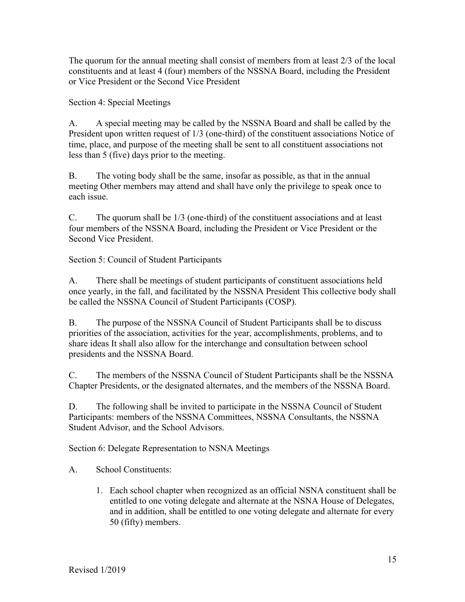The quorum for the annual meeting shall consist of members from at least 2/3 of the local constituents and at least 4 (four) members of the NSSNA Board, including the President or Vice President or the Second Vice President

Section 4: Special Meetings

A. A special meeting may be called by the NSSNA Board and shall be called by the President upon written request of 1/3 (one-third) of the constituent associations Notice of time, place, and purpose of the meeting shall be sent to all constituent associations not less than 5 (five) days prior to the meeting.

B. The voting body shall be the same, insofar as possible, as that in the annual meeting Other members may attend and shall have only the privilege to speak once to each issue.

C. The quorum shall be 1/3 (one-third) of the constituent associations and at least four members of the NSSNA Board, including the President or Vice President or the Second Vice President.

Section 5: Council of Student Participants

A. There shall be meetings of student participants of constituent associations held once yearly, in the fall, and facilitated by the NSSNA President This collective body shall be called the NSSNA Council of Student Participants (COSP).

B. The purpose of the NSSNA Council of Student Participants shall be to discuss priorities of the association, activities for the year, accomplishments, problems, and to share ideas It shall also allow for the interchange and consultation between school presidents and the NSSNA Board.

C. The members of the NSSNA Council of Student Participants shall be the NSSNA Chapter Presidents, or the designated alternates, and the members of the NSSNA Board.

D. The following shall be invited to participate in the NSSNA Council of Student Participants: members of the NSSNA Committees, NSSNA Consultants, the NSSNA Student Advisor, and the School Advisors.

Section 6: Delegate Representation to NSNA Meetings

A. School Constituents:

1. Each school chapter when recognized as an official NSNA constituent shall be entitled to one voting delegate and alternate at the NSNA House of Delegates, and in addition, shall be entitled to one voting delegate and alternate for every 50 (fifty) members.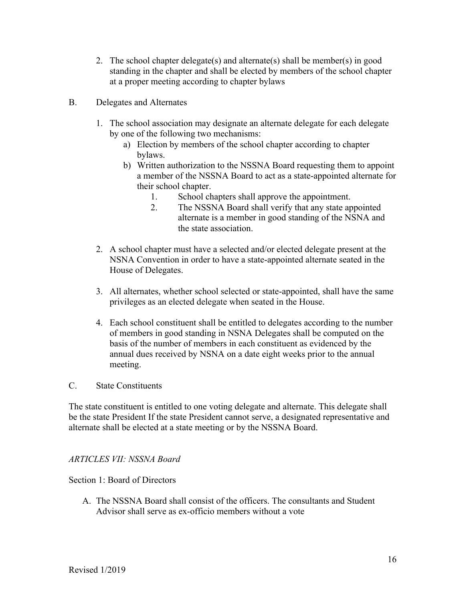- 2. The school chapter delegate(s) and alternate(s) shall be member(s) in good standing in the chapter and shall be elected by members of the school chapter at a proper meeting according to chapter bylaws
- B. Delegates and Alternates
	- 1. The school association may designate an alternate delegate for each delegate by one of the following two mechanisms:
		- a) Election by members of the school chapter according to chapter bylaws.
		- b) Written authorization to the NSSNA Board requesting them to appoint a member of the NSSNA Board to act as a state-appointed alternate for their school chapter.
			- 1. School chapters shall approve the appointment.
			- 2. The NSSNA Board shall verify that any state appointed alternate is a member in good standing of the NSNA and the state association.
	- 2. A school chapter must have a selected and/or elected delegate present at the NSNA Convention in order to have a state-appointed alternate seated in the House of Delegates.
	- 3. All alternates, whether school selected or state-appointed, shall have the same privileges as an elected delegate when seated in the House.
	- 4. Each school constituent shall be entitled to delegates according to the number of members in good standing in NSNA Delegates shall be computed on the basis of the number of members in each constituent as evidenced by the annual dues received by NSNA on a date eight weeks prior to the annual meeting.

## C. State Constituents

The state constituent is entitled to one voting delegate and alternate. This delegate shall be the state President If the state President cannot serve, a designated representative and alternate shall be elected at a state meeting or by the NSSNA Board.

## *ARTICLES VII: NSSNA Board*

## Section 1: Board of Directors

A. The NSSNA Board shall consist of the officers. The consultants and Student Advisor shall serve as ex-officio members without a vote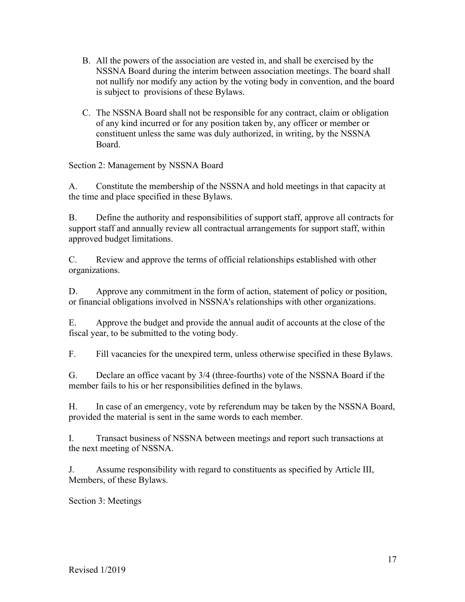- B. All the powers of the association are vested in, and shall be exercised by the NSSNA Board during the interim between association meetings. The board shall not nullify nor modify any action by the voting body in convention, and the board is subject to provisions of these Bylaws.
- C. The NSSNA Board shall not be responsible for any contract, claim or obligation of any kind incurred or for any position taken by, any officer or member or constituent unless the same was duly authorized, in writing, by the NSSNA Board.

Section 2: Management by NSSNA Board

A. Constitute the membership of the NSSNA and hold meetings in that capacity at the time and place specified in these Bylaws.

B. Define the authority and responsibilities of support staff, approve all contracts for support staff and annually review all contractual arrangements for support staff, within approved budget limitations.

C. Review and approve the terms of official relationships established with other organizations.

D. Approve any commitment in the form of action, statement of policy or position, or financial obligations involved in NSSNA's relationships with other organizations.

E. Approve the budget and provide the annual audit of accounts at the close of the fiscal year, to be submitted to the voting body.

F. Fill vacancies for the unexpired term, unless otherwise specified in these Bylaws.

G. Declare an office vacant by 3/4 (three-fourths) vote of the NSSNA Board if the member fails to his or her responsibilities defined in the bylaws.

H. In case of an emergency, vote by referendum may be taken by the NSSNA Board, provided the material is sent in the same words to each member.

I. Transact business of NSSNA between meetings and report such transactions at the next meeting of NSSNA.

J. Assume responsibility with regard to constituents as specified by Article III, Members, of these Bylaws.

Section 3: Meetings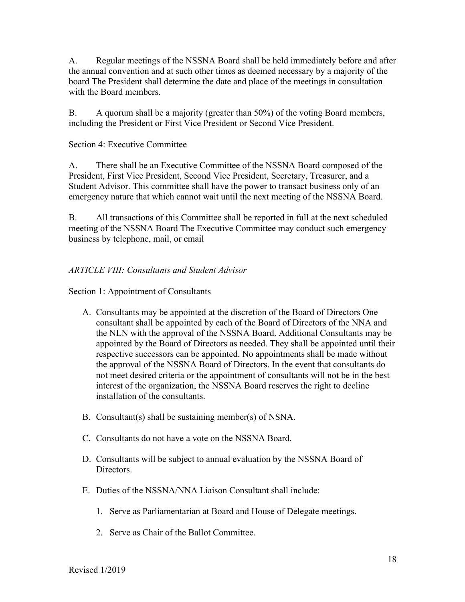A. Regular meetings of the NSSNA Board shall be held immediately before and after the annual convention and at such other times as deemed necessary by a majority of the board The President shall determine the date and place of the meetings in consultation with the Board members.

B. A quorum shall be a majority (greater than 50%) of the voting Board members, including the President or First Vice President or Second Vice President.

Section 4: Executive Committee

A. There shall be an Executive Committee of the NSSNA Board composed of the President, First Vice President, Second Vice President, Secretary, Treasurer, and a Student Advisor. This committee shall have the power to transact business only of an emergency nature that which cannot wait until the next meeting of the NSSNA Board.

B. All transactions of this Committee shall be reported in full at the next scheduled meeting of the NSSNA Board The Executive Committee may conduct such emergency business by telephone, mail, or email

## *ARTICLE VIII: Consultants and Student Advisor*

Section 1: Appointment of Consultants

- A. Consultants may be appointed at the discretion of the Board of Directors One consultant shall be appointed by each of the Board of Directors of the NNA and the NLN with the approval of the NSSNA Board. Additional Consultants may be appointed by the Board of Directors as needed. They shall be appointed until their respective successors can be appointed. No appointments shall be made without the approval of the NSSNA Board of Directors. In the event that consultants do not meet desired criteria or the appointment of consultants will not be in the best interest of the organization, the NSSNA Board reserves the right to decline installation of the consultants.
- B. Consultant(s) shall be sustaining member(s) of NSNA.
- C. Consultants do not have a vote on the NSSNA Board.
- D. Consultants will be subject to annual evaluation by the NSSNA Board of Directors.
- E. Duties of the NSSNA/NNA Liaison Consultant shall include:
	- 1. Serve as Parliamentarian at Board and House of Delegate meetings.
	- 2. Serve as Chair of the Ballot Committee.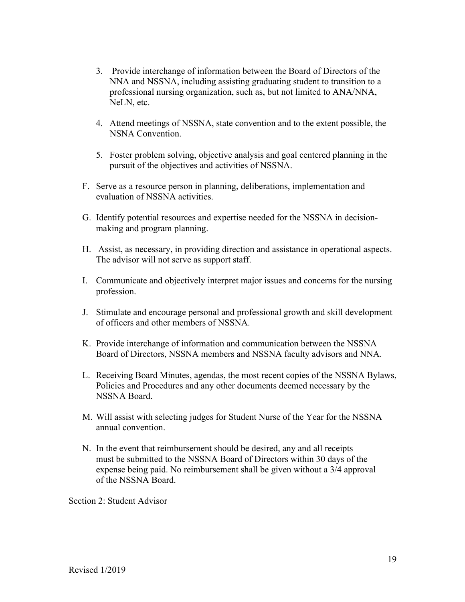- 3. Provide interchange of information between the Board of Directors of the NNA and NSSNA, including assisting graduating student to transition to a professional nursing organization, such as, but not limited to ANA/NNA, NeLN, etc.
- 4. Attend meetings of NSSNA, state convention and to the extent possible, the NSNA Convention.
- 5. Foster problem solving, objective analysis and goal centered planning in the pursuit of the objectives and activities of NSSNA.
- F. Serve as a resource person in planning, deliberations, implementation and evaluation of NSSNA activities.
- G. Identify potential resources and expertise needed for the NSSNA in decisionmaking and program planning.
- H. Assist, as necessary, in providing direction and assistance in operational aspects. The advisor will not serve as support staff.
- I. Communicate and objectively interpret major issues and concerns for the nursing profession.
- J. Stimulate and encourage personal and professional growth and skill development of officers and other members of NSSNA.
- K. Provide interchange of information and communication between the NSSNA Board of Directors, NSSNA members and NSSNA faculty advisors and NNA.
- L. Receiving Board Minutes, agendas, the most recent copies of the NSSNA Bylaws, Policies and Procedures and any other documents deemed necessary by the NSSNA Board.
- M. Will assist with selecting judges for Student Nurse of the Year for the NSSNA annual convention.
- N. In the event that reimbursement should be desired, any and all receipts must be submitted to the NSSNA Board of Directors within 30 days of the expense being paid. No reimbursement shall be given without a 3/4 approval of the NSSNA Board.

Section 2: Student Advisor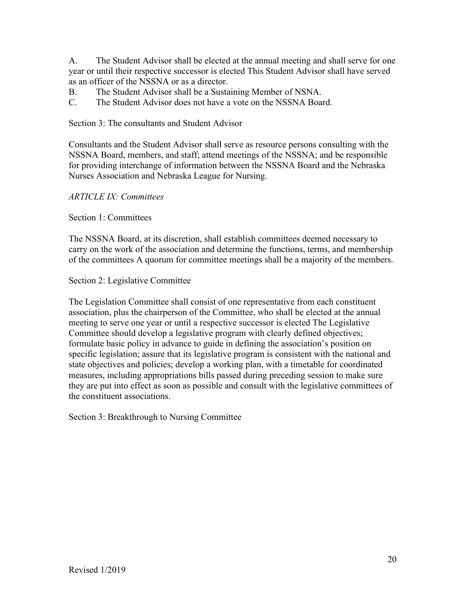A. The Student Advisor shall be elected at the annual meeting and shall serve for one year or until their respective successor is elected This Student Advisor shall have served as an officer of the NSSNA or as a director.

- B. The Student Advisor shall be a Sustaining Member of NSNA.
- C. The Student Advisor does not have a vote on the NSSNA Board.

Section 3: The consultants and Student Advisor

Consultants and the Student Advisor shall serve as resource persons consulting with the NSSNA Board, members, and staff; attend meetings of the NSSNA; and be responsible for providing interchange of information between the NSSNA Board and the Nebraska Nurses Association and Nebraska League for Nursing.

## *ARTICLE IX: Committees*

Section 1: Committees

The NSSNA Board, at its discretion, shall establish committees deemed necessary to carry on the work of the association and determine the functions, terms, and membership of the committees A quorum for committee meetings shall be a majority of the members.

## Section 2: Legislative Committee

The Legislation Committee shall consist of one representative from each constituent association, plus the chairperson of the Committee, who shall be elected at the annual meeting to serve one year or until a respective successor is elected The Legislative Committee should develop a legislative program with clearly defined objectives; formulate basic policy in advance to guide in defining the association's position on specific legislation; assure that its legislative program is consistent with the national and state objectives and policies; develop a working plan, with a timetable for coordinated measures, including appropriations bills passed during preceding session to make sure they are put into effect as soon as possible and consult with the legislative committees of the constituent associations.

Section 3: Breakthrough to Nursing Committee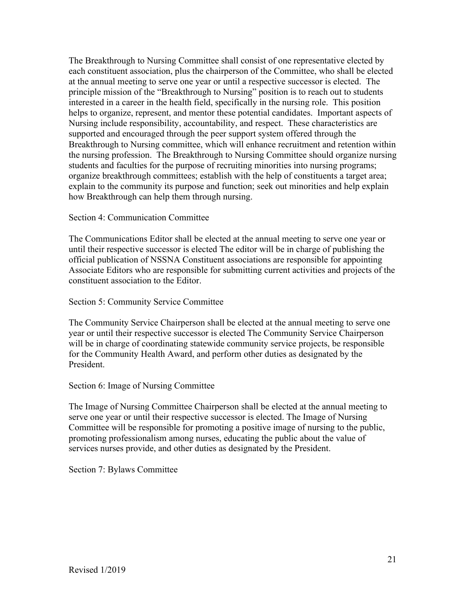The Breakthrough to Nursing Committee shall consist of one representative elected by each constituent association, plus the chairperson of the Committee, who shall be elected at the annual meeting to serve one year or until a respective successor is elected. The principle mission of the "Breakthrough to Nursing" position is to reach out to students interested in a career in the health field, specifically in the nursing role. This position helps to organize, represent, and mentor these potential candidates. Important aspects of Nursing include responsibility, accountability, and respect. These characteristics are supported and encouraged through the peer support system offered through the Breakthrough to Nursing committee, which will enhance recruitment and retention within the nursing profession. The Breakthrough to Nursing Committee should organize nursing students and faculties for the purpose of recruiting minorities into nursing programs; organize breakthrough committees; establish with the help of constituents a target area; explain to the community its purpose and function; seek out minorities and help explain how Breakthrough can help them through nursing.

## Section 4: Communication Committee

The Communications Editor shall be elected at the annual meeting to serve one year or until their respective successor is elected The editor will be in charge of publishing the official publication of NSSNA Constituent associations are responsible for appointing Associate Editors who are responsible for submitting current activities and projects of the constituent association to the Editor.

Section 5: Community Service Committee

The Community Service Chairperson shall be elected at the annual meeting to serve one year or until their respective successor is elected The Community Service Chairperson will be in charge of coordinating statewide community service projects, be responsible for the Community Health Award, and perform other duties as designated by the President.

Section 6: Image of Nursing Committee

The Image of Nursing Committee Chairperson shall be elected at the annual meeting to serve one year or until their respective successor is elected. The Image of Nursing Committee will be responsible for promoting a positive image of nursing to the public, promoting professionalism among nurses, educating the public about the value of services nurses provide, and other duties as designated by the President.

Section 7: Bylaws Committee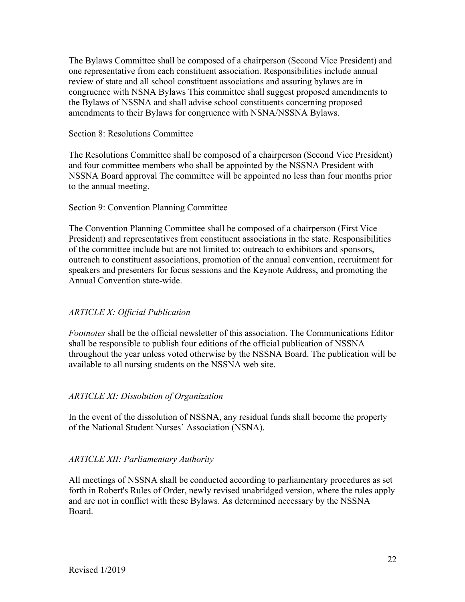The Bylaws Committee shall be composed of a chairperson (Second Vice President) and one representative from each constituent association. Responsibilities include annual review of state and all school constituent associations and assuring bylaws are in congruence with NSNA Bylaws This committee shall suggest proposed amendments to the Bylaws of NSSNA and shall advise school constituents concerning proposed amendments to their Bylaws for congruence with NSNA/NSSNA Bylaws.

## Section 8: Resolutions Committee

The Resolutions Committee shall be composed of a chairperson (Second Vice President) and four committee members who shall be appointed by the NSSNA President with NSSNA Board approval The committee will be appointed no less than four months prior to the annual meeting.

## Section 9: Convention Planning Committee

The Convention Planning Committee shall be composed of a chairperson (First Vice President) and representatives from constituent associations in the state. Responsibilities of the committee include but are not limited to: outreach to exhibitors and sponsors, outreach to constituent associations, promotion of the annual convention, recruitment for speakers and presenters for focus sessions and the Keynote Address, and promoting the Annual Convention state-wide.

## *ARTICLE X: Official Publication*

*Footnotes* shall be the official newsletter of this association. The Communications Editor shall be responsible to publish four editions of the official publication of NSSNA throughout the year unless voted otherwise by the NSSNA Board. The publication will be available to all nursing students on the NSSNA web site.

## *ARTICLE XI: Dissolution of Organization*

In the event of the dissolution of NSSNA, any residual funds shall become the property of the National Student Nurses' Association (NSNA).

## *ARTICLE XII: Parliamentary Authority*

All meetings of NSSNA shall be conducted according to parliamentary procedures as set forth in Robert's Rules of Order, newly revised unabridged version, where the rules apply and are not in conflict with these Bylaws. As determined necessary by the NSSNA Board.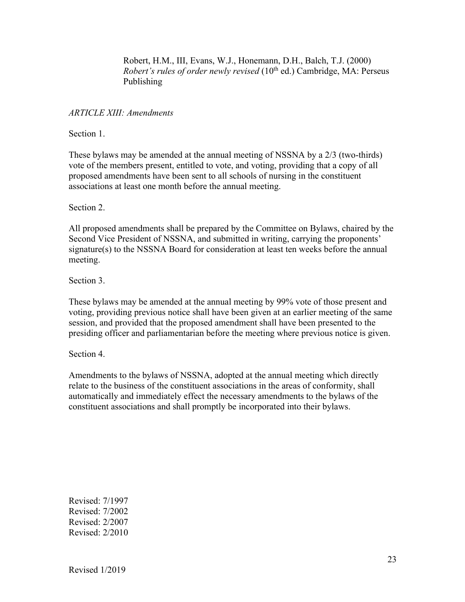Robert, H.M., III, Evans, W.J., Honemann, D.H., Balch, T.J. (2000) *Robert's rules of order newly revised* (10<sup>th</sup> ed.) Cambridge, MA: Perseus Publishing

*ARTICLE XIII: Amendments*

Section 1.

These bylaws may be amended at the annual meeting of NSSNA by a 2/3 (two-thirds) vote of the members present, entitled to vote, and voting, providing that a copy of all proposed amendments have been sent to all schools of nursing in the constituent associations at least one month before the annual meeting.

Section 2.

All proposed amendments shall be prepared by the Committee on Bylaws, chaired by the Second Vice President of NSSNA, and submitted in writing, carrying the proponents' signature(s) to the NSSNA Board for consideration at least ten weeks before the annual meeting.

Section 3.

These bylaws may be amended at the annual meeting by 99% vote of those present and voting, providing previous notice shall have been given at an earlier meeting of the same session, and provided that the proposed amendment shall have been presented to the presiding officer and parliamentarian before the meeting where previous notice is given.

Section 4.

Amendments to the bylaws of NSSNA, adopted at the annual meeting which directly relate to the business of the constituent associations in the areas of conformity, shall automatically and immediately effect the necessary amendments to the bylaws of the constituent associations and shall promptly be incorporated into their bylaws.

Revised: 7/1997 Revised: 7/2002 Revised: 2/2007 Revised: 2/2010